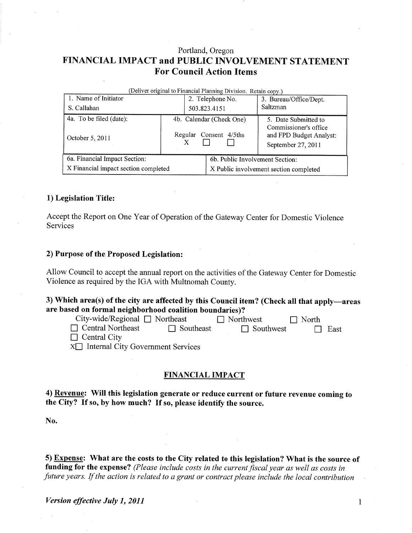# Portland, Oregon FINANCIAL IMPACT and PUBLIC INVOLVEMENT STATEMENT For Council Action ltems

| (Deliver original to Financial Planning Division. Retain copy.) |  |                                                    |                                        |                                                                                                |  |  |  |  |
|-----------------------------------------------------------------|--|----------------------------------------------------|----------------------------------------|------------------------------------------------------------------------------------------------|--|--|--|--|
| 1. Name of Initiator                                            |  | 2. Telephone No.                                   |                                        | 3. Bureau/Office/Dept.                                                                         |  |  |  |  |
| S. Callahan                                                     |  | 503.823.4151                                       |                                        | <b>Saltzman</b>                                                                                |  |  |  |  |
| 4a. To be filed (date):<br>October 5, 2011                      |  | 4b. Calendar (Check One)<br>Regular Consent 4/5ths |                                        | 5. Date Submitted to<br>Commissioner's office<br>and FPD Budget Analyst:<br>September 27, 2011 |  |  |  |  |
| 6a. Financial Impact Section:                                   |  |                                                    |                                        | 6b. Public Involvement Section:                                                                |  |  |  |  |
| X Financial impact section completed                            |  |                                                    | X Public involvement section completed |                                                                                                |  |  |  |  |

### 1) Legislation Title:

Accept the Report on One Year of Operation of the Gateway Center for Domestic Violence Services

#### 2) Purpose of the Proposed Legislation:

Allow Council to accept the annual report on the activities of the Gateway Center for Domestic Violence as required by the IGA with Multnomah County.

## 3) Which area(s) of the city are affected by this Council item? (Check all that apply-areas are based on formal neighborhood coalition boundaries)?

| City-wide/Regional $\Box$ Northeast        |                  | $\Box$ Northwest | $\Box$ North |         |
|--------------------------------------------|------------------|------------------|--------------|---------|
| $\Box$ Central Northeast                   | $\Box$ Southeast | $\Box$ Southwest |              | II East |
| $\Box$ Central City                        |                  |                  |              |         |
| $X \Box$ Internal City Government Services |                  |                  |              |         |

#### FINANCIAL IMPACT

4) Revenue: Will this legislation generate or reduce current or future revenue coming to the City? If so, by how much? If so, please identify the source.

No.

5) Expense: What are the costs to the City related to this legislation? What is the source of funding for the expense? (Please include costs in the current fiscal year as well as costs in .future years. If the action is related to a grant or contract please include the local contribution

 $\mathbf{1}$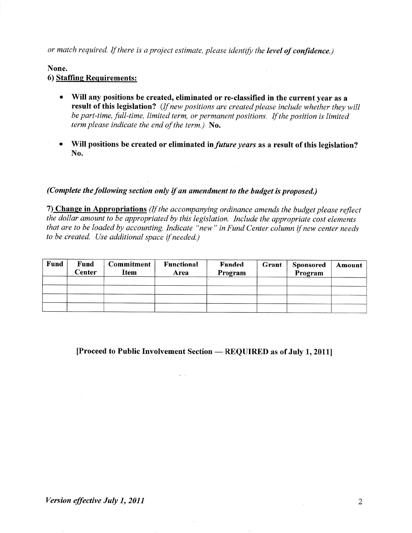or match required. If there is a project estimate, please identify the level of confidence.)

#### None.

# 6) Staffine Requirements:

- o Will any positions be created, eliminated or re-classified in the current year as a result of this legislation? (If new positions are created please include whether they will be part-time, full-time, limited term, or permanent positions. If the position is limited term please indicate the end of the term.) No.
- Will positions be created or eliminated in *future years* as a result of this legislation? No.

### (Complete the following section only if an amendment to the budget is proposed.)

7) Change in Appropriations (If the accompanying ordinance amends the budget please reflect the dollar amount to be appropriated by this legislation. Include the appropriate cost elements that are to be loaded by accounting. Indicate "new" in Fund Center column if new center needs to be created. Use additional space if needed.)

| Fund | Fund<br>Center | <b>Commitment</b><br>Item | <b>Functional</b><br>Area | <b>Funded</b><br>Program | Grant | <b>Sponsored</b><br>Program | Amount |
|------|----------------|---------------------------|---------------------------|--------------------------|-------|-----------------------------|--------|
|      |                |                           |                           |                          |       |                             |        |
|      |                |                           |                           |                          |       |                             |        |
|      |                |                           |                           |                          |       |                             |        |

[Proceed to Public Involvement Section — REQUIRED as of July 1, 2011]